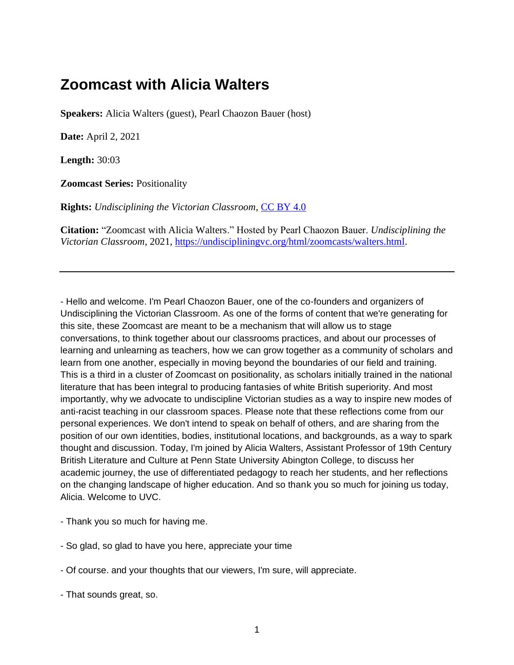## **Zoomcast with Alicia Walters**

**Speakers:** Alicia Walters (guest), Pearl Chaozon Bauer (host)

**Date:** April 2, 2021

**Length:** 30:03

**Zoomcast Series:** Positionality

**Rights:** *Undisciplining the Victorian Classroom*, *[CC BY 4.0](https://creativecommons.org/licenses/by/4.0/)* 

**Citation:** "Zoomcast with Alicia Walters." Hosted by Pearl Chaozon Bauer. *Undisciplining the Victorian Classroom*, 2021, [https://undiscipliningvc.org/html/zoomcasts/walters.html.](https://undiscipliningvc.org/html/zoomcasts/walters.html)

- Hello and welcome. I'm Pearl Chaozon Bauer, one of the co-founders and organizers of Undisciplining the Victorian Classroom. As one of the forms of content that we're generating for this site, these Zoomcast are meant to be a mechanism that will allow us to stage conversations, to think together about our classrooms practices, and about our processes of learning and unlearning as teachers, how we can grow together as a community of scholars and learn from one another, especially in moving beyond the boundaries of our field and training. This is a third in a cluster of Zoomcast on positionality, as scholars initially trained in the national literature that has been integral to producing fantasies of white British superiority. And most importantly, why we advocate to undiscipline Victorian studies as a way to inspire new modes of anti-racist teaching in our classroom spaces. Please note that these reflections come from our personal experiences. We don't intend to speak on behalf of others, and are sharing from the position of our own identities, bodies, institutional locations, and backgrounds, as a way to spark thought and discussion. Today, I'm joined by Alicia Walters, Assistant Professor of 19th Century British Literature and Culture at Penn State University Abington College, to discuss her academic journey, the use of differentiated pedagogy to reach her students, and her reflections on the changing landscape of higher education. And so thank you so much for joining us today, Alicia. Welcome to UVC.

- Thank you so much for having me.
- So glad, so glad to have you here, appreciate your time
- Of course. and your thoughts that our viewers, I'm sure, will appreciate.
- That sounds great, so.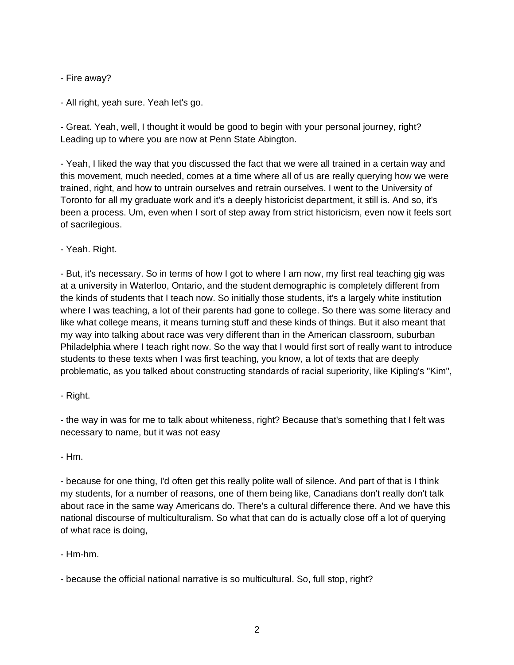- Fire away?

- All right, yeah sure. Yeah let's go.

- Great. Yeah, well, I thought it would be good to begin with your personal journey, right? Leading up to where you are now at Penn State Abington.

- Yeah, I liked the way that you discussed the fact that we were all trained in a certain way and this movement, much needed, comes at a time where all of us are really querying how we were trained, right, and how to untrain ourselves and retrain ourselves. I went to the University of Toronto for all my graduate work and it's a deeply historicist department, it still is. And so, it's been a process. Um, even when I sort of step away from strict historicism, even now it feels sort of sacrilegious.

- Yeah. Right.

- But, it's necessary. So in terms of how I got to where I am now, my first real teaching gig was at a university in Waterloo, Ontario, and the student demographic is completely different from the kinds of students that I teach now. So initially those students, it's a largely white institution where I was teaching, a lot of their parents had gone to college. So there was some literacy and like what college means, it means turning stuff and these kinds of things. But it also meant that my way into talking about race was very different than in the American classroom, suburban Philadelphia where I teach right now. So the way that I would first sort of really want to introduce students to these texts when I was first teaching, you know, a lot of texts that are deeply problematic, as you talked about constructing standards of racial superiority, like Kipling's "Kim",

- Right.

- the way in was for me to talk about whiteness, right? Because that's something that I felt was necessary to name, but it was not easy

- Hm.

- because for one thing, I'd often get this really polite wall of silence. And part of that is I think my students, for a number of reasons, one of them being like, Canadians don't really don't talk about race in the same way Americans do. There's a cultural difference there. And we have this national discourse of multiculturalism. So what that can do is actually close off a lot of querying of what race is doing,

- Hm-hm.

- because the official national narrative is so multicultural. So, full stop, right?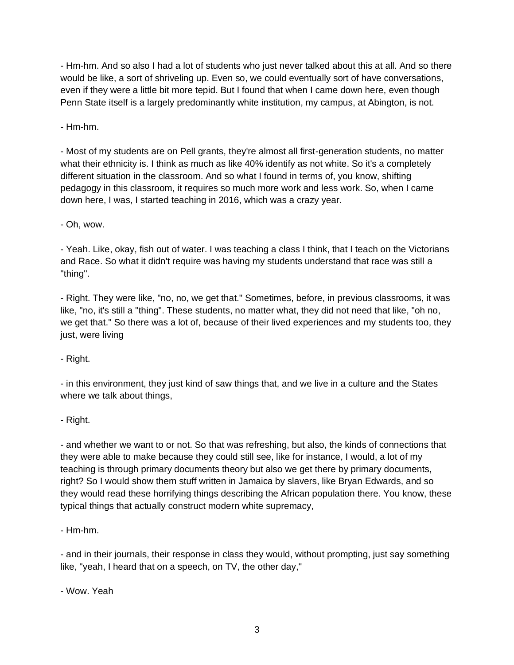- Hm-hm. And so also I had a lot of students who just never talked about this at all. And so there would be like, a sort of shriveling up. Even so, we could eventually sort of have conversations, even if they were a little bit more tepid. But I found that when I came down here, even though Penn State itself is a largely predominantly white institution, my campus, at Abington, is not.

- Hm-hm.

- Most of my students are on Pell grants, they're almost all first-generation students, no matter what their ethnicity is. I think as much as like 40% identify as not white. So it's a completely different situation in the classroom. And so what I found in terms of, you know, shifting pedagogy in this classroom, it requires so much more work and less work. So, when I came down here, I was, I started teaching in 2016, which was a crazy year.

- Oh, wow.

- Yeah. Like, okay, fish out of water. I was teaching a class I think, that I teach on the Victorians and Race. So what it didn't require was having my students understand that race was still a "thing".

- Right. They were like, "no, no, we get that." Sometimes, before, in previous classrooms, it was like, "no, it's still a "thing". These students, no matter what, they did not need that like, "oh no, we get that." So there was a lot of, because of their lived experiences and my students too, they just, were living

- Right.

- in this environment, they just kind of saw things that, and we live in a culture and the States where we talk about things,

- Right.

- and whether we want to or not. So that was refreshing, but also, the kinds of connections that they were able to make because they could still see, like for instance, I would, a lot of my teaching is through primary documents theory but also we get there by primary documents, right? So I would show them stuff written in Jamaica by slavers, like Bryan Edwards, and so they would read these horrifying things describing the African population there. You know, these typical things that actually construct modern white supremacy,

- Hm-hm.

- and in their journals, their response in class they would, without prompting, just say something like, "yeah, I heard that on a speech, on TV, the other day,"

- Wow. Yeah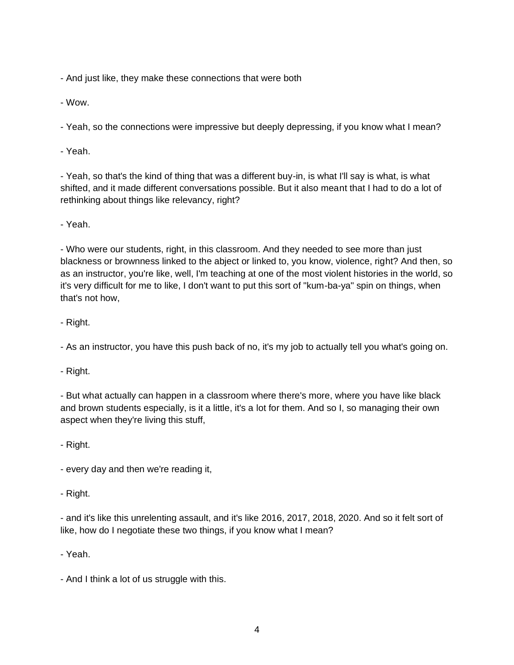- And just like, they make these connections that were both

- Wow.

- Yeah, so the connections were impressive but deeply depressing, if you know what I mean?

- Yeah.

- Yeah, so that's the kind of thing that was a different buy-in, is what I'll say is what, is what shifted, and it made different conversations possible. But it also meant that I had to do a lot of rethinking about things like relevancy, right?

- Yeah.

- Who were our students, right, in this classroom. And they needed to see more than just blackness or brownness linked to the abject or linked to, you know, violence, right? And then, so as an instructor, you're like, well, I'm teaching at one of the most violent histories in the world, so it's very difficult for me to like, I don't want to put this sort of "kum-ba-ya" spin on things, when that's not how,

- Right.

- As an instructor, you have this push back of no, it's my job to actually tell you what's going on.

- Right.

- But what actually can happen in a classroom where there's more, where you have like black and brown students especially, is it a little, it's a lot for them. And so I, so managing their own aspect when they're living this stuff,

- Right.

- every day and then we're reading it,

- Right.

- and it's like this unrelenting assault, and it's like 2016, 2017, 2018, 2020. And so it felt sort of like, how do I negotiate these two things, if you know what I mean?

- Yeah.

- And I think a lot of us struggle with this.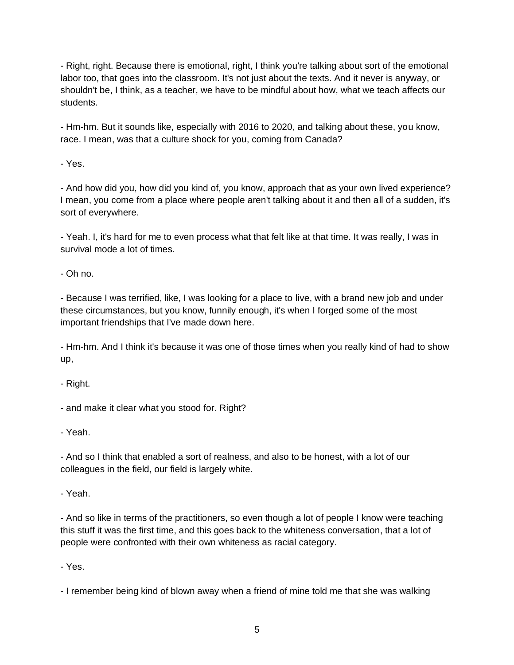- Right, right. Because there is emotional, right, I think you're talking about sort of the emotional labor too, that goes into the classroom. It's not just about the texts. And it never is anyway, or shouldn't be, I think, as a teacher, we have to be mindful about how, what we teach affects our students.

- Hm-hm. But it sounds like, especially with 2016 to 2020, and talking about these, you know, race. I mean, was that a culture shock for you, coming from Canada?

- Yes.

- And how did you, how did you kind of, you know, approach that as your own lived experience? I mean, you come from a place where people aren't talking about it and then all of a sudden, it's sort of everywhere.

- Yeah. I, it's hard for me to even process what that felt like at that time. It was really, I was in survival mode a lot of times.

- Oh no.

- Because I was terrified, like, I was looking for a place to live, with a brand new job and under these circumstances, but you know, funnily enough, it's when I forged some of the most important friendships that I've made down here.

- Hm-hm. And I think it's because it was one of those times when you really kind of had to show up,

- Right.

- and make it clear what you stood for. Right?

- Yeah.

- And so I think that enabled a sort of realness, and also to be honest, with a lot of our colleagues in the field, our field is largely white.

- Yeah.

- And so like in terms of the practitioners, so even though a lot of people I know were teaching this stuff it was the first time, and this goes back to the whiteness conversation, that a lot of people were confronted with their own whiteness as racial category.

- Yes.

- I remember being kind of blown away when a friend of mine told me that she was walking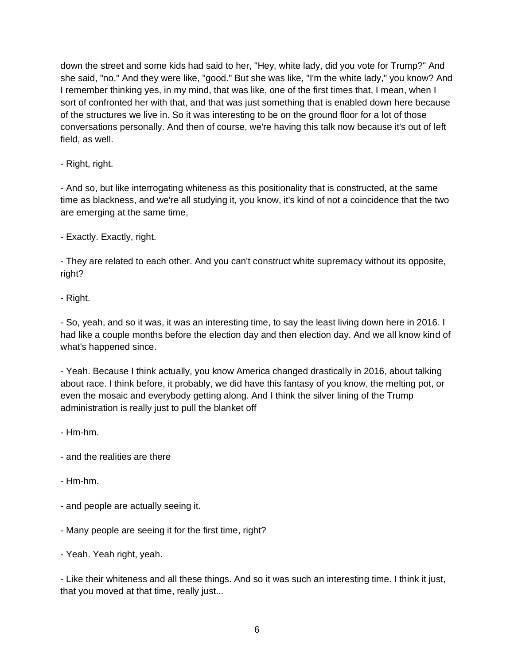down the street and some kids had said to her, "Hey, white lady, did you vote for Trump?" And she said, "no." And they were like, "good." But she was like, "I'm the white lady," you know? And I remember thinking yes, in my mind, that was like, one of the first times that, I mean, when I sort of confronted her with that, and that was just something that is enabled down here because of the structures we live in. So it was interesting to be on the ground floor for a lot of those conversations personally. And then of course, we're having this talk now because it's out of left field, as well.

- Right, right.

- And so, but like interrogating whiteness as this positionality that is constructed, at the same time as blackness, and we're all studying it, you know, it's kind of not a coincidence that the two are emerging at the same time,

- Exactly. Exactly, right.

- They are related to each other. And you can't construct white supremacy without its opposite, right?

- Right.

- So, yeah, and so it was, it was an interesting time, to say the least living down here in 2016. I had like a couple months before the election day and then election day. And we all know kind of what's happened since.

- Yeah. Because I think actually, you know America changed drastically in 2016, about talking about race. I think before, it probably, we did have this fantasy of you know, the melting pot, or even the mosaic and everybody getting along. And I think the silver lining of the Trump administration is really just to pull the blanket off

- Hm-hm.

- and the realities are there
- Hm-hm.
- and people are actually seeing it.
- Many people are seeing it for the first time, right?
- Yeah. Yeah right, yeah.

- Like their whiteness and all these things. And so it was such an interesting time. I think it just, that you moved at that time, really just...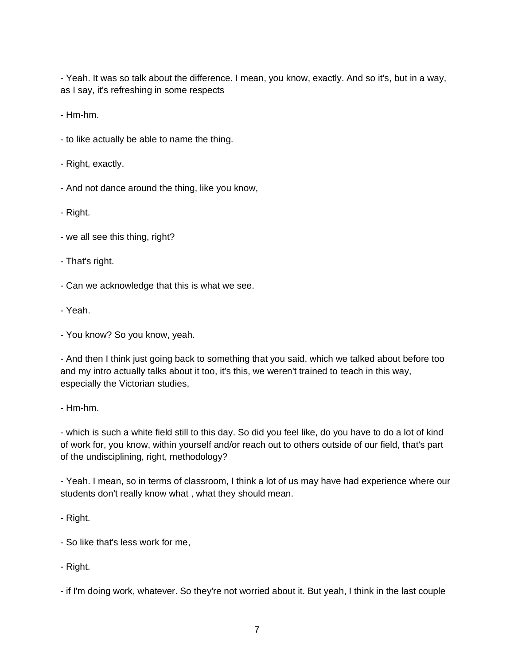- Yeah. It was so talk about the difference. I mean, you know, exactly. And so it's, but in a way, as I say, it's refreshing in some respects

- Hm-hm.

- to like actually be able to name the thing.
- Right, exactly.
- And not dance around the thing, like you know,
- Right.
- we all see this thing, right?
- That's right.
- Can we acknowledge that this is what we see.
- Yeah.
- You know? So you know, yeah.

- And then I think just going back to something that you said, which we talked about before too and my intro actually talks about it too, it's this, we weren't trained to teach in this way, especially the Victorian studies,

- Hm-hm.

- which is such a white field still to this day. So did you feel like, do you have to do a lot of kind of work for, you know, within yourself and/or reach out to others outside of our field, that's part of the undisciplining, right, methodology?

- Yeah. I mean, so in terms of classroom, I think a lot of us may have had experience where our students don't really know what , what they should mean.

- Right.

- So like that's less work for me,
- Right.

- if I'm doing work, whatever. So they're not worried about it. But yeah, I think in the last couple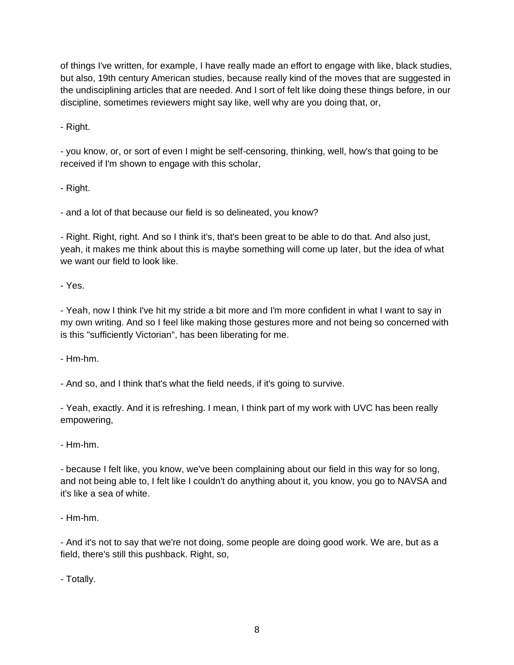of things I've written, for example, I have really made an effort to engage with like, black studies, but also, 19th century American studies, because really kind of the moves that are suggested in the undisciplining articles that are needed. And I sort of felt like doing these things before, in our discipline, sometimes reviewers might say like, well why are you doing that, or,

- Right.

- you know, or, or sort of even I might be self-censoring, thinking, well, how's that going to be received if I'm shown to engage with this scholar,

- Right.

- and a lot of that because our field is so delineated, you know?

- Right. Right, right. And so I think it's, that's been great to be able to do that. And also just, yeah, it makes me think about this is maybe something will come up later, but the idea of what we want our field to look like.

- Yes.

- Yeah, now I think I've hit my stride a bit more and I'm more confident in what I want to say in my own writing. And so I feel like making those gestures more and not being so concerned with is this "sufficiently Victorian", has been liberating for me.

- Hm-hm.

- And so, and I think that's what the field needs, if it's going to survive.

- Yeah, exactly. And it is refreshing. I mean, I think part of my work with UVC has been really empowering,

- Hm-hm.

- because I felt like, you know, we've been complaining about our field in this way for so long, and not being able to, I felt like I couldn't do anything about it, you know, you go to NAVSA and it's like a sea of white.

- Hm-hm.

- And it's not to say that we're not doing, some people are doing good work. We are, but as a field, there's still this pushback. Right, so,

- Totally.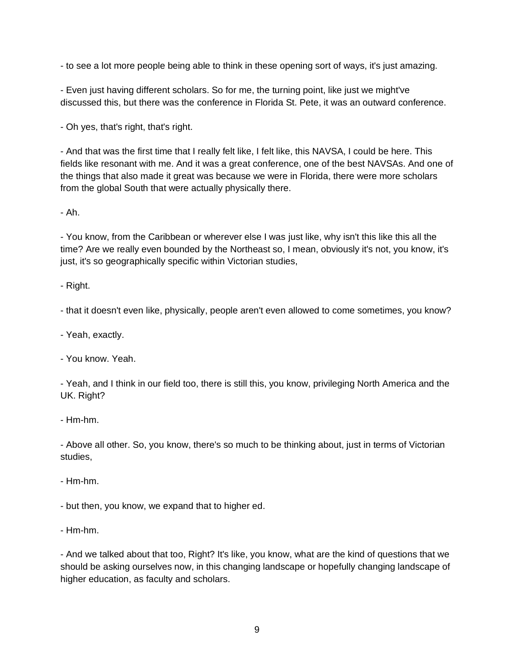- to see a lot more people being able to think in these opening sort of ways, it's just amazing.

- Even just having different scholars. So for me, the turning point, like just we might've discussed this, but there was the conference in Florida St. Pete, it was an outward conference.

- Oh yes, that's right, that's right.

- And that was the first time that I really felt like, I felt like, this NAVSA, I could be here. This fields like resonant with me. And it was a great conference, one of the best NAVSAs. And one of the things that also made it great was because we were in Florida, there were more scholars from the global South that were actually physically there.

- Ah.

- You know, from the Caribbean or wherever else I was just like, why isn't this like this all the time? Are we really even bounded by the Northeast so, I mean, obviously it's not, you know, it's just, it's so geographically specific within Victorian studies,

- Right.

- that it doesn't even like, physically, people aren't even allowed to come sometimes, you know?

- Yeah, exactly.

- You know. Yeah.

- Yeah, and I think in our field too, there is still this, you know, privileging North America and the UK. Right?

- Hm-hm.

- Above all other. So, you know, there's so much to be thinking about, just in terms of Victorian studies,

- Hm-hm.

- but then, you know, we expand that to higher ed.

- Hm-hm.

- And we talked about that too, Right? It's like, you know, what are the kind of questions that we should be asking ourselves now, in this changing landscape or hopefully changing landscape of higher education, as faculty and scholars.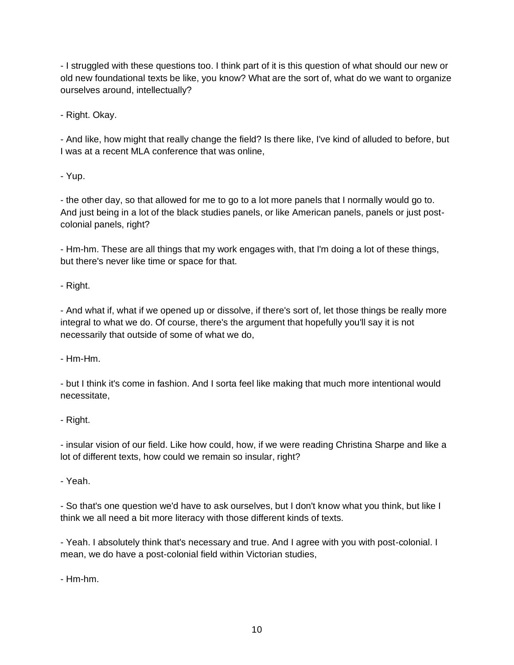- I struggled with these questions too. I think part of it is this question of what should our new or old new foundational texts be like, you know? What are the sort of, what do we want to organize ourselves around, intellectually?

- Right. Okay.

- And like, how might that really change the field? Is there like, I've kind of alluded to before, but I was at a recent MLA conference that was online,

- Yup.

- the other day, so that allowed for me to go to a lot more panels that I normally would go to. And just being in a lot of the black studies panels, or like American panels, panels or just postcolonial panels, right?

- Hm-hm. These are all things that my work engages with, that I'm doing a lot of these things, but there's never like time or space for that.

- Right.

- And what if, what if we opened up or dissolve, if there's sort of, let those things be really more integral to what we do. Of course, there's the argument that hopefully you'll say it is not necessarily that outside of some of what we do,

- Hm-Hm.

- but I think it's come in fashion. And I sorta feel like making that much more intentional would necessitate,

- Right.

- insular vision of our field. Like how could, how, if we were reading Christina Sharpe and like a lot of different texts, how could we remain so insular, right?

- Yeah.

- So that's one question we'd have to ask ourselves, but I don't know what you think, but like I think we all need a bit more literacy with those different kinds of texts.

- Yeah. I absolutely think that's necessary and true. And I agree with you with post-colonial. I mean, we do have a post-colonial field within Victorian studies,

- Hm-hm.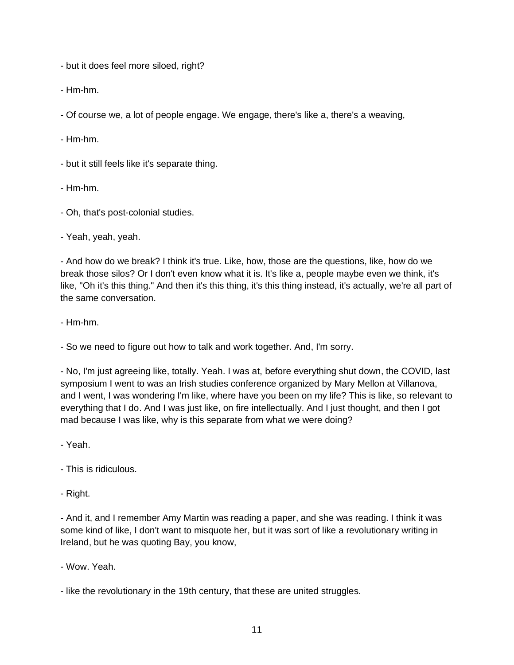- but it does feel more siloed, right?

- Hm-hm.

- Of course we, a lot of people engage. We engage, there's like a, there's a weaving,

- Hm-hm.

- but it still feels like it's separate thing.

- Hm-hm.
- Oh, that's post-colonial studies.

- Yeah, yeah, yeah.

- And how do we break? I think it's true. Like, how, those are the questions, like, how do we break those silos? Or I don't even know what it is. It's like a, people maybe even we think, it's like, "Oh it's this thing." And then it's this thing, it's this thing instead, it's actually, we're all part of the same conversation.

- Hm-hm.

- So we need to figure out how to talk and work together. And, I'm sorry.

- No, I'm just agreeing like, totally. Yeah. I was at, before everything shut down, the COVID, last symposium I went to was an Irish studies conference organized by Mary Mellon at Villanova, and I went, I was wondering I'm like, where have you been on my life? This is like, so relevant to everything that I do. And I was just like, on fire intellectually. And I just thought, and then I got mad because I was like, why is this separate from what we were doing?

- Yeah.

- This is ridiculous.
- Right.

- And it, and I remember Amy Martin was reading a paper, and she was reading. I think it was some kind of like, I don't want to misquote her, but it was sort of like a revolutionary writing in Ireland, but he was quoting Bay, you know,

- Wow. Yeah.

- like the revolutionary in the 19th century, that these are united struggles.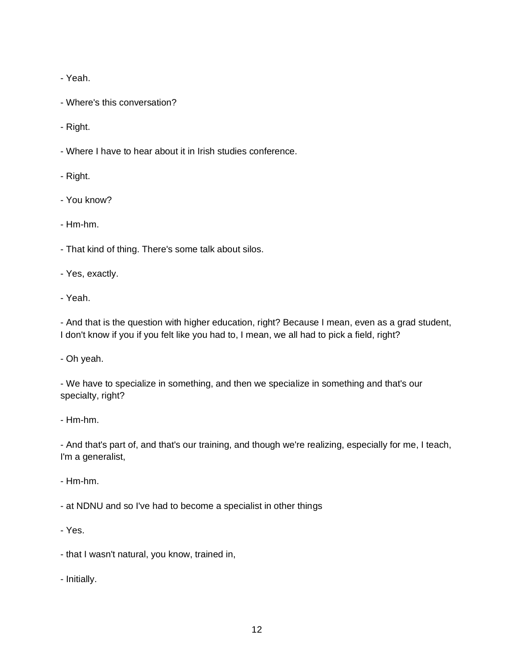- Yeah.

- Where's this conversation?

- Right.

- Where I have to hear about it in Irish studies conference.

- Right.

- You know?

- Hm-hm.

- That kind of thing. There's some talk about silos.

- Yes, exactly.

- Yeah.

- And that is the question with higher education, right? Because I mean, even as a grad student, I don't know if you if you felt like you had to, I mean, we all had to pick a field, right?

- Oh yeah.

- We have to specialize in something, and then we specialize in something and that's our specialty, right?

- Hm-hm.

- And that's part of, and that's our training, and though we're realizing, especially for me, I teach, I'm a generalist,

- Hm-hm.

- at NDNU and so I've had to become a specialist in other things

- Yes.

- that I wasn't natural, you know, trained in,

- Initially.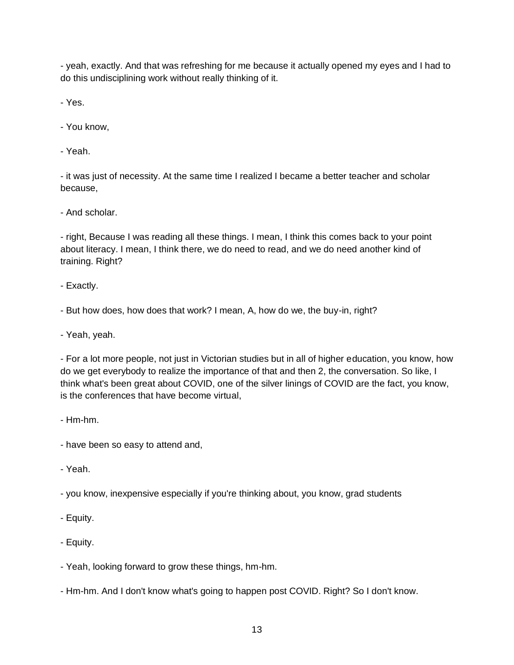- yeah, exactly. And that was refreshing for me because it actually opened my eyes and I had to do this undisciplining work without really thinking of it.

- Yes.

- You know,

- Yeah.

- it was just of necessity. At the same time I realized I became a better teacher and scholar because,

- And scholar.

- right, Because I was reading all these things. I mean, I think this comes back to your point about literacy. I mean, I think there, we do need to read, and we do need another kind of training. Right?

- Exactly.

- But how does, how does that work? I mean, A, how do we, the buy-in, right?

- Yeah, yeah.

- For a lot more people, not just in Victorian studies but in all of higher education, you know, how do we get everybody to realize the importance of that and then 2, the conversation. So like, I think what's been great about COVID, one of the silver linings of COVID are the fact, you know, is the conferences that have become virtual,

- Hm-hm.

- have been so easy to attend and,

- Yeah.

- you know, inexpensive especially if you're thinking about, you know, grad students

- Equity.

- Equity.

- Yeah, looking forward to grow these things, hm-hm.

- Hm-hm. And I don't know what's going to happen post COVID. Right? So I don't know.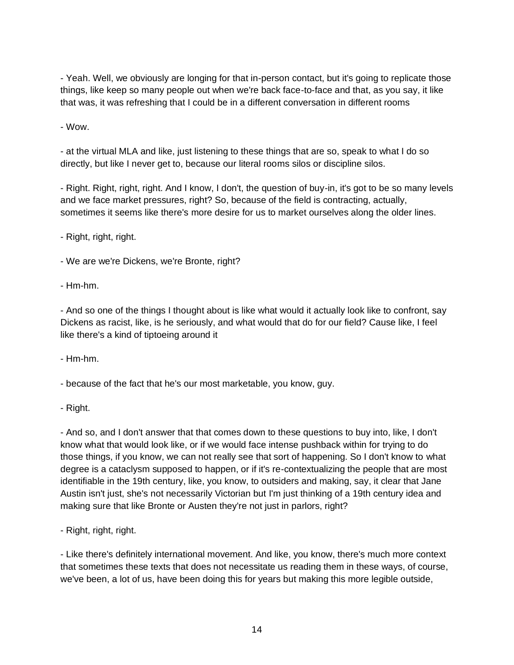- Yeah. Well, we obviously are longing for that in-person contact, but it's going to replicate those things, like keep so many people out when we're back face-to-face and that, as you say, it like that was, it was refreshing that I could be in a different conversation in different rooms

- Wow.

- at the virtual MLA and like, just listening to these things that are so, speak to what I do so directly, but like I never get to, because our literal rooms silos or discipline silos.

- Right. Right, right, right. And I know, I don't, the question of buy-in, it's got to be so many levels and we face market pressures, right? So, because of the field is contracting, actually, sometimes it seems like there's more desire for us to market ourselves along the older lines.

- Right, right, right.

- We are we're Dickens, we're Bronte, right?
- Hm-hm.

- And so one of the things I thought about is like what would it actually look like to confront, say Dickens as racist, like, is he seriously, and what would that do for our field? Cause like, I feel like there's a kind of tiptoeing around it

- Hm-hm.

- because of the fact that he's our most marketable, you know, guy.

- Right.

- And so, and I don't answer that that comes down to these questions to buy into, like, I don't know what that would look like, or if we would face intense pushback within for trying to do those things, if you know, we can not really see that sort of happening. So I don't know to what degree is a cataclysm supposed to happen, or if it's re-contextualizing the people that are most identifiable in the 19th century, like, you know, to outsiders and making, say, it clear that Jane Austin isn't just, she's not necessarily Victorian but I'm just thinking of a 19th century idea and making sure that like Bronte or Austen they're not just in parlors, right?

- Right, right, right.

- Like there's definitely international movement. And like, you know, there's much more context that sometimes these texts that does not necessitate us reading them in these ways, of course, we've been, a lot of us, have been doing this for years but making this more legible outside,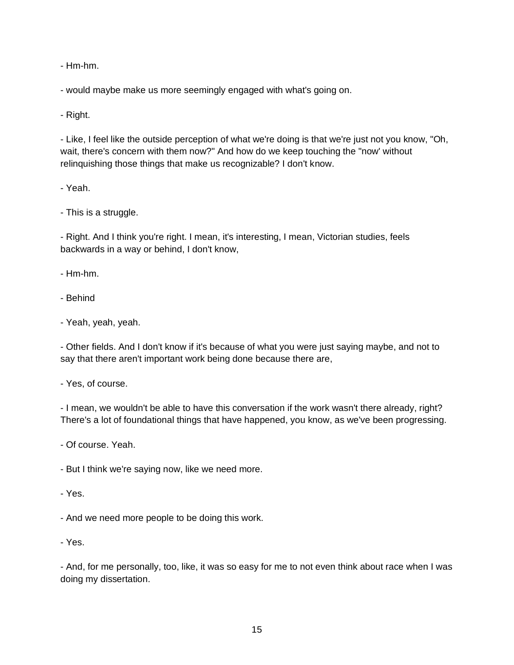- Hm-hm.

- would maybe make us more seemingly engaged with what's going on.

- Right.

- Like, I feel like the outside perception of what we're doing is that we're just not you know, "Oh, wait, there's concern with them now?" And how do we keep touching the "now' without relinquishing those things that make us recognizable? I don't know.

- Yeah.

- This is a struggle.

- Right. And I think you're right. I mean, it's interesting, I mean, Victorian studies, feels backwards in a way or behind, I don't know,

- Hm-hm.

- Behind
- Yeah, yeah, yeah.

- Other fields. And I don't know if it's because of what you were just saying maybe, and not to say that there aren't important work being done because there are,

- Yes, of course.

- I mean, we wouldn't be able to have this conversation if the work wasn't there already, right? There's a lot of foundational things that have happened, you know, as we've been progressing.

- Of course. Yeah.

- But I think we're saying now, like we need more.

- Yes.

- And we need more people to be doing this work.

- Yes.

- And, for me personally, too, like, it was so easy for me to not even think about race when I was doing my dissertation.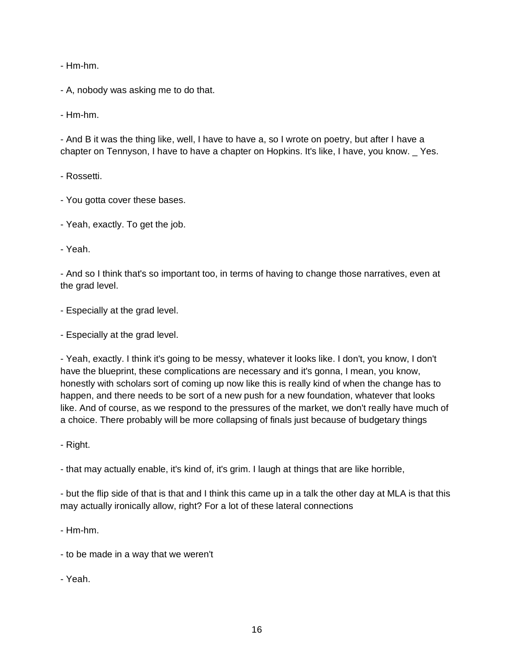- Hm-hm.

- A, nobody was asking me to do that.

- Hm-hm.

- And B it was the thing like, well, I have to have a, so I wrote on poetry, but after I have a chapter on Tennyson, I have to have a chapter on Hopkins. It's like, I have, you know. \_ Yes.

- Rossetti.

- You gotta cover these bases.
- Yeah, exactly. To get the job.

- Yeah.

- And so I think that's so important too, in terms of having to change those narratives, even at the grad level.

- Especially at the grad level.

- Especially at the grad level.

- Yeah, exactly. I think it's going to be messy, whatever it looks like. I don't, you know, I don't have the blueprint, these complications are necessary and it's gonna, I mean, you know, honestly with scholars sort of coming up now like this is really kind of when the change has to happen, and there needs to be sort of a new push for a new foundation, whatever that looks like. And of course, as we respond to the pressures of the market, we don't really have much of a choice. There probably will be more collapsing of finals just because of budgetary things

- Right.

- that may actually enable, it's kind of, it's grim. I laugh at things that are like horrible,

- but the flip side of that is that and I think this came up in a talk the other day at MLA is that this may actually ironically allow, right? For a lot of these lateral connections

- Hm-hm.

- to be made in a way that we weren't
- Yeah.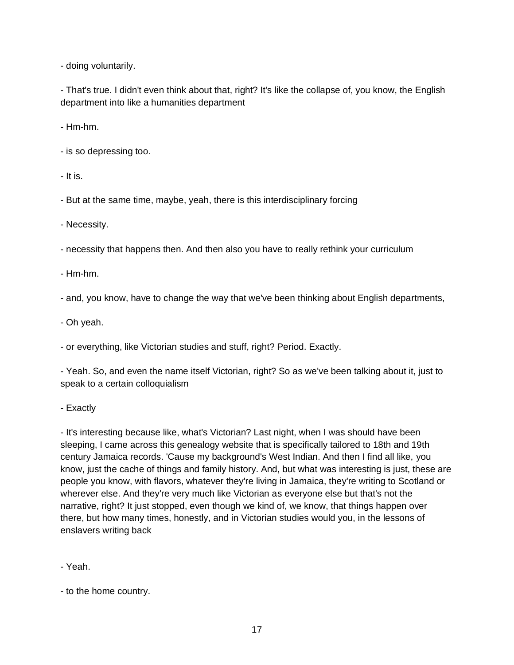- doing voluntarily.

- That's true. I didn't even think about that, right? It's like the collapse of, you know, the English department into like a humanities department

- Hm-hm.

- is so depressing too.

- It is.

- But at the same time, maybe, yeah, there is this interdisciplinary forcing

- Necessity.

- necessity that happens then. And then also you have to really rethink your curriculum

- Hm-hm.

- and, you know, have to change the way that we've been thinking about English departments,

- Oh yeah.

- or everything, like Victorian studies and stuff, right? Period. Exactly.

- Yeah. So, and even the name itself Victorian, right? So as we've been talking about it, just to speak to a certain colloquialism

- Exactly

- It's interesting because like, what's Victorian? Last night, when I was should have been sleeping, I came across this genealogy website that is specifically tailored to 18th and 19th century Jamaica records. 'Cause my background's West Indian. And then I find all like, you know, just the cache of things and family history. And, but what was interesting is just, these are people you know, with flavors, whatever they're living in Jamaica, they're writing to Scotland or wherever else. And they're very much like Victorian as everyone else but that's not the narrative, right? It just stopped, even though we kind of, we know, that things happen over there, but how many times, honestly, and in Victorian studies would you, in the lessons of enslavers writing back

- Yeah.

- to the home country.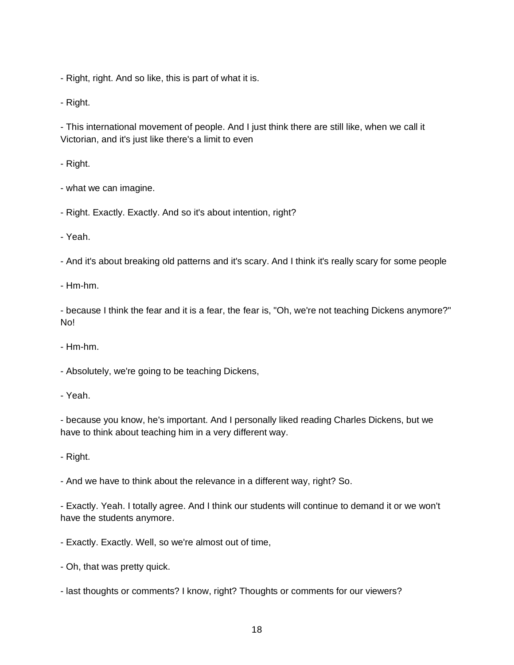- Right, right. And so like, this is part of what it is.

- Right.

- This international movement of people. And I just think there are still like, when we call it Victorian, and it's just like there's a limit to even

- Right.

- what we can imagine.
- Right. Exactly. Exactly. And so it's about intention, right?

- Yeah.

- And it's about breaking old patterns and it's scary. And I think it's really scary for some people

- Hm-hm.

- because I think the fear and it is a fear, the fear is, "Oh, we're not teaching Dickens anymore?" No!

- Hm-hm.

- Absolutely, we're going to be teaching Dickens,

- Yeah.

- because you know, he's important. And I personally liked reading Charles Dickens, but we have to think about teaching him in a very different way.

- Right.

- And we have to think about the relevance in a different way, right? So.

- Exactly. Yeah. I totally agree. And I think our students will continue to demand it or we won't have the students anymore.

- Exactly. Exactly. Well, so we're almost out of time,
- Oh, that was pretty quick.
- last thoughts or comments? I know, right? Thoughts or comments for our viewers?